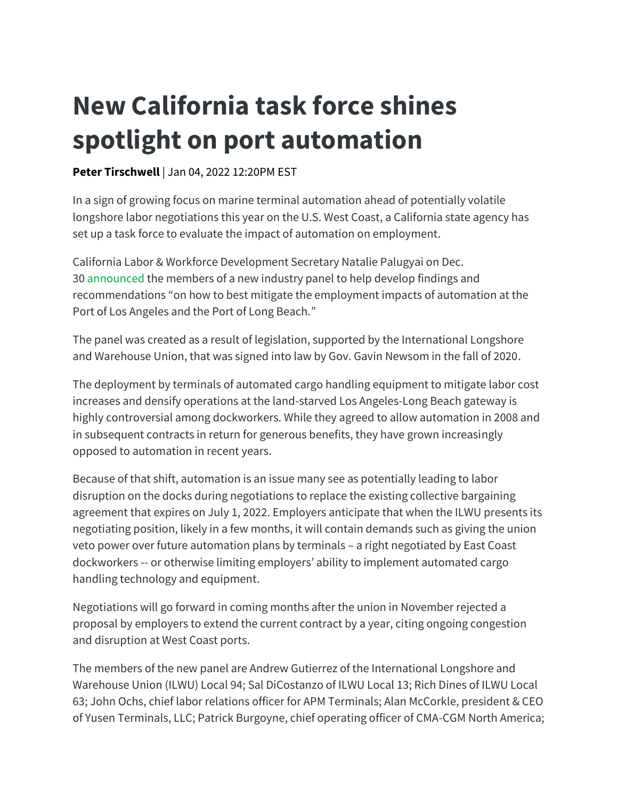## **New California task force shines spotlight on port automation**

## [Peter Tirschwell](https://nam11.safelinks.protection.outlook.com/?url=https%3A%2F%2Fwww.joc.com%2Fusers%2Fptirschwelljoccom&data=04%7C01%7Csusanne.stirling%40calchamber.com%7C0160b72764ad4d79778608d9cfaa7735%7Ca7abc4f7450941ba980af561a25182bc%7C0%7C0%7C637769153323068972%7CUnknown%7CTWFpbGZsb3d8eyJWIjoiMC4wLjAwMDAiLCJQIjoiV2luMzIiLCJBTiI6Ik1haWwiLCJXVCI6Mn0%3D%7C3000&sdata=NgPGOQ6RLsZEs%2B%2B8gdwZwfW%2Ft9Ea82fP6Gw4bLJ6pX4%3D&reserved=0) | Jan 04, 2022 12:20PM EST

In a sign of growing focus on marine terminal automation ahead of potentially volatile longshore labor negotiations this year on the U.S. West Coast, a California state agency has set up a task force to evaluate the impact of automation on employment.

California Labor & Workforce Development Secretary Natalie Palugyai on Dec. 30 [announced](https://nam11.safelinks.protection.outlook.com/?url=https%3A%2F%2Fwww.labor.ca.gov%2F2021%2F12%2F30%2Fcalifornia-labor-secretary-appoints-members-of-panel-studying-impacts-of-automation-on-ports-of-los-angeles-and-long-beach%2F&data=04%7C01%7Csusanne.stirling%40calchamber.com%7C0160b72764ad4d79778608d9cfaa7735%7Ca7abc4f7450941ba980af561a25182bc%7C0%7C0%7C637769153323068972%7CUnknown%7CTWFpbGZsb3d8eyJWIjoiMC4wLjAwMDAiLCJQIjoiV2luMzIiLCJBTiI6Ik1haWwiLCJXVCI6Mn0%3D%7C3000&sdata=8mGRwxPow4INbJZ0NGHG7eGt6Io%2BB7i0FyN5jBKzk%2BI%3D&reserved=0) the members of a new industry panel to help develop findings and recommendations "on how to best mitigate the employment impacts of automation at the Port of Los Angeles and the Port of Long Beach."

The panel was created as a result of legislation, supported by the International Longshore and Warehouse Union, that was signed into law by Gov. Gavin Newsom in the fall of 2020.

The deployment by terminals of automated cargo handling equipment to mitigate labor cost increases and densify operations at the land-starved Los Angeles-Long Beach gateway is highly controversial among dockworkers. While they agreed to allow automation in 2008 and in subsequent contracts in return for generous benefits, they have grown increasingly opposed to automation in recent years.

Because of that shift, automation is an issue many see as potentially leading to labor disruption on the docks during negotiations to replace the existing collective bargaining agreement that expires on July 1, 2022. Employers anticipate that when the ILWU presents its negotiating position, likely in a few months, it will contain demands such as giving the union veto power over future automation plans by terminals – a right negotiated by East Coast dockworkers -- or otherwise limiting employers' ability to implement automated cargo handling technology and equipment.

Negotiations will go forward in coming months after the union in November rejected a proposal by employers to extend the current contract by a year, citing ongoing congestion and disruption at West Coast ports.

The members of the new panel are Andrew Gutierrez of the International Longshore and Warehouse Union (ILWU) Local 94; Sal DiCostanzo of ILWU Local 13; Rich Dines of ILWU Local 63; John Ochs, chief labor relations officer for APM Terminals; Alan McCorkle, president & CEO of Yusen Terminals, LLC; Patrick Burgoyne, chief operating officer of CMA-CGM North America;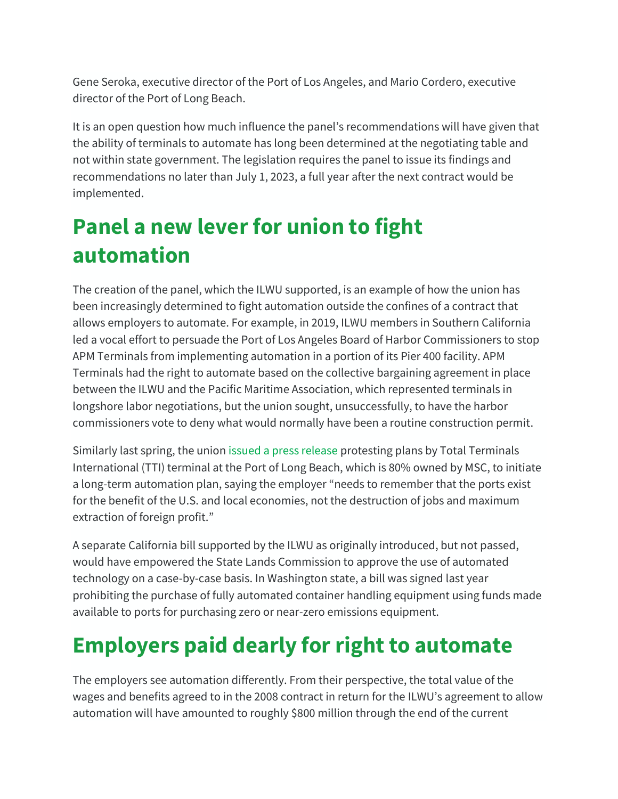Gene Seroka, executive director of the Port of Los Angeles, and Mario Cordero, executive director of the Port of Long Beach.

It is an open question how much influence the panel's recommendations will have given that the ability of terminals to automate has long been determined at the negotiating table and not within state government. The legislation requires the panel to issue its findings and recommendations no later than July 1, 2023, a full year after the next contract would be implemented.

## **Panel a new lever for union to fight automation**

The creation of the panel, which the ILWU supported, is an example of how the union has been increasingly determined to fight automation outside the confines of a contract that allows employers to automate. For example, in 2019, ILWU members in Southern California led a vocal effort to persuade the Port of Los Angeles Board of Harbor Commissioners to stop APM Terminals from implementing automation in a portion of its Pier 400 facility. APM Terminals had the right to automate based on the collective bargaining agreement in place between the ILWU and the Pacific Maritime Association, which represented terminals in longshore labor negotiations, but the union sought, unsuccessfully, to have the harbor commissioners vote to deny what would normally have been a routine construction permit.

Similarly last spring, the union [issued a press release](https://nam11.safelinks.protection.outlook.com/?url=https%3A%2F%2Fwww.ilwu13.com%2Fcomponent%2Fcontent%2Farticle%2F18-posts%2F6748-5-18-2021-ilwu-news-release-on-tti-automation%3FItemid%3D101&data=04%7C01%7Csusanne.stirling%40calchamber.com%7C0160b72764ad4d79778608d9cfaa7735%7Ca7abc4f7450941ba980af561a25182bc%7C0%7C0%7C637769153323068972%7CUnknown%7CTWFpbGZsb3d8eyJWIjoiMC4wLjAwMDAiLCJQIjoiV2luMzIiLCJBTiI6Ik1haWwiLCJXVCI6Mn0%3D%7C3000&sdata=8pVT64OAoaUDNP9iAEYjAdmdHHrVfH9WkRXuahGX3xE%3D&reserved=0) protesting plans by Total Terminals International (TTI) terminal at the Port of Long Beach, which is 80% owned by MSC, to initiate a long-term automation plan, saying the employer "needs to remember that the ports exist for the benefit of the U.S. and local economies, not the destruction of jobs and maximum extraction of foreign profit."

A separate California bill supported by the ILWU as originally introduced, but not passed, would have empowered the State Lands Commission to approve the use of automated technology on a case-by-case basis. In Washington state, a bill was signed last year prohibiting the purchase of fully automated container handling equipment using funds made available to ports for purchasing zero or near-zero emissions equipment.

## **Employers paid dearly for right to automate**

The employers see automation differently. From their perspective, the total value of the wages and benefits agreed to in the 2008 contract in return for the ILWU's agreement to allow automation will have amounted to roughly \$800 million through the end of the current